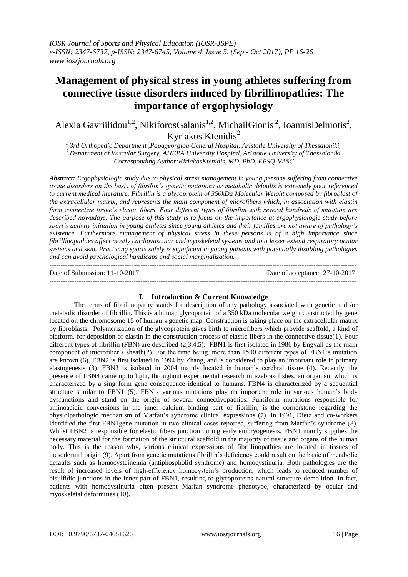# **Management of physical stress in young athletes suffering from connective tissue disorders induced by fibrillinopathies: The importance of ergophysiology**

Alexia Gavriilidou<sup>1,2</sup>, NikiforosGalanis<sup>1,2</sup>, MichailGionis<sup>2</sup>, IoannisDelniotis<sup>2</sup>, Kyriakos Ktenidis $2$ 

*1 3rd Orthopedic Department ,Papageorgiou General Hospital, Aristotle University of Thessaloniki, <sup>2</sup>Department of Vascular Surgery, AHEPA University Hospital, Aristotle University of Thessaloniki Corresponding Author:KiriakosKtenidis, MD, PhD, EBSQ-VASC*

*Abstract: Ergophysiologic study due to physical stress management in young persons suffering from connective tissue disorders on the basis of fibrillin's genetic mutations or metabolic defaults is extremely poor referenced*  to current medical literature. Fibrillin is a glycoprotein of 350kDa Molecular Weight composed by fibroblast of *the extracellular matrix, and represents the main component of microfibers which, in association with elastin form connective tissue's elastic fibers. Four different types of fibrillin with several hundreds of mutation are described nowadays. The purpose of this study is to focus on the importance at ergophysiologic study before sport's activity initiation in young athletes since young athletes and their families are not aware of pathology's existence. Furthermore management of physical stress in these persons is of a high importance since fibrillinopathies affect mostly cardiovascular and myoskeletal systems and to a lesser extend respiratory ocular systems and skin. Practicing sports safely is significant in young patients with potentially disabling pathologies and can avoid psychological handicaps and social marginalization.* ---------------------------------------------------------------------------------------------------------------------------------------

Date of Submission: 11-10-2017 Date of acceptance: 27-10-2017 ---------------------------------------------------------------------------------------------------------------------------------------

# **I. Introduction & Current Knowcedge**

The terms of fibrillinopathy stands for description of any pathology associated with genetic and /or metabolic disorder of fibrillin. This is a human glycoprotein of a 350 kDa molecular weight constructed by gene located on the chromosome 15 of human's genetic map. Construction is taking place on the extracellular matrix by fibroblasts. Polymerization of the glycoprotein gives birth to microfibers which provide scaffold, a kind of platform, for deposition of elastin in the construction process of elastic fibers in the connective tissue(1). Four different types of fibrillin (FBN) are described (2,3,4,5). FBN1 is first isolated in 1986 by Engvall as the main component of microfiber's sheath(2). For the time being, more than 1500 different types of FBN1's mutation are known (6). FBN2 is first isolated in 1994 by Ζhang, and is considered to play an important role in primary elastogenesis (3). FBN3 is isolated in 2004 mainly located in human's cerebral tissue (4). Recently, the presence of FBN4 came up to light, throughout experimental research in «zebra» fishes, an organism which is characterized by a sing form gene consequence identical to humans. FBN4 is characterized by a sequential structure similar to FBN1 (5). FBN's various mutations play an important role in various human's body dysfunctions and stand on the origin of several connectivopathies. Puntiform mutations responsible for aminoacidic conversions in the inner calcium–binding part of fibrillin, is the cornerstone regarding the physiolpathologic mechanism of Marfan's syndrome clinical expressions (7). In 1991, Dietz and co-workers identified the first FBN1gene mutation in two clinical cases reported, suffering from Marfan's syndrome (8). Whilst FBN2 is responsible for elastic fibers junction during early embryogenesis, FBN1 mainly supplies the necessary material for the formation of the structural scaffold in the majority of tissue and organs of the human body. This is the reason why, various clinical expressions of fibrillinopathies are located in tissues of mesodermal origin (9). Apart from genetic mutations fibrillin's deficiency could result on the basic of metabolic defaults such as homocysteinemia (antiphospholid syndrome) and homocystinuria. Both pathologies are the result of increased levels of high-efficiency homocystein's production, which leads to reduced number of bisulfidic junctions in the inner part of FBN1, resulting to glycoproteins natural structure demolition. In fact, patients with homocystinuria often present Marfan syndrome phenotype, characterized by ocular and myoskeletal deformities (10).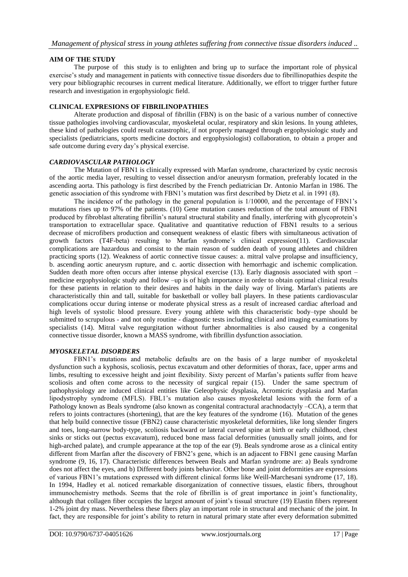# **AIM OF THE STUDY**

The purpose of this study is to enlighten and bring up to surface the important role of physical exercise's study and management in patients with connective tissue disorders due to fibrillinopathies despite the very pour bibliographic recourses in current medical literature. Additionally, we effort to trigger further future research and investigation in ergophysiologic field.

### **CLINICAL EXPRESIONS OF FIBRILINOPATHIES**

Alterate production and disposal of fibrillin (FBN) is on the basic of a various number of connective tissue pathologies involving cardiovascular, myoskeletal ocular, respiratory and skin lesions. In young athletes, these kind of pathologies could result catastrophic, if not properly managed through ergophysiologic study and specialists (pediatricians, sports medicine doctors and ergophysiologist) collaboration, to obtain a proper and safe outcome during every day's physical exercise.

#### *CARDIOVASCULAR PATHOLOGY*

The Mutation of FBN1 is clinically expressed with Marfan syndrome, characterized by cystic necrosis of the aortic media layer, resulting to vessel dissection and/or aneurysm formation, preferably located in the ascending aorta. This pathology is first described by the French pediatrician Dr. Antonio Marfan in 1986. The genetic association of this syndrome with FBN1's mutation was first described by Dietz et al. in 1991 (8).

The incidence of the pathology in the general population is 1/10000, and the percentage of FBN1's mutations rises up to 97% of the patients. (10) Gene mutation causes reduction of the total amount of FBN1 produced by fibroblast alterating fibrillin's natural structural stability and finally, interfering with glycoprotein's transportation to extracellular space. Qualitative and quantitative reduction of FBN1 results to a serious decrease of microfibers production and consequent weakness of elastic fibers with simultaneous activation of growth factors (T4F-beta) resulting to Marfan syndrome's clinical expression(11). Cardiovascular complications are hazardous and consist to the main reason of sudden death of young athletes and children practicing sports (12). Weakness of aortic connective tissue causes: a. mitral valve prolapse and insufficiency, b. ascending aortic aneurysm rupture, and c. aortic dissection with hemorrhagic and ischemic complication. Sudden death more often occurs after intense physical exercise (13). Early diagnosis associated with sport – medicine ergophysiologic study and follow –up is of high importance in order to obtain optimal clinical results for these patients in relation to their desires and habits in the daily way of living. Marfan's patients are characteristically thin and tall, suitable for basketball or volley ball players. In these patients cardiovascular complications occur during intense or moderate physical stress as a result of increased cardiac afterload and high levels of systolic blood pressure. Every young athlete with this characteristic body–type should be submitted to scrupulous - and not only routine - diagnostic tests including clinical and imaging examinations by specialists (14). Mitral valve regurgitation without further abnormalities is also caused by a congenital connective tissue disorder, known a MASS syndrome, with fibrillin dysfunction association.

#### *MYOSKELETAL DISORDERS*

FBN1's mutations and metabolic defaults are on the basis of a large number of myoskeletal dysfunction such a kyphosis, scoliosis, pectus excavatum and other deformities of thorax, face, upper arms and limbs, resulting to excessive height and joint flexibility. Sixty percent of Marfan's patients suffer from heave scoliosis and often come across to the necessity of surgical repair (15). Under the same spectrum of pathophysiology are induced clinical entities like Geleophysic dysplasia, Acromicric dysplasia and Marfan lipodystrophy syndrome (MFLS). FBL1's mutation also causes myoskeletal lesions with the form of a Pathology known as Beals syndrome (also known as congenital contractural arachnodactyly –CCA), a term that refers to joints contractures (shortening), that are the key features of the syndrome (16). Mutation of the genes that help build connective tissue (FBN2) cause characteristic myoskeletal deformities, like long slender fingers and toes, long-narrow body-type, scoliosis backward or lateral curved spine at birth or early childhood, chest sinks or sticks out (pectus excavatum), reduced bone mass facial deformities (unusually small joints, and for high-arched palate), and crumple appearance at the top of the ear (9). Beals syndrome arose as a clinical entity different from Marfan after the discovery of FBN2's gene, which is an adjacent to FBN1 gene causing Marfan syndrome (9, 16, 17). Characteristic differences between Beals and Marfan syndrome are: a) Beals syndrome does not affect the eyes, and b) Different body joints behavior. Other bone and joint deformities are expressions of various FBN1's mutations expressed with different clinical forms like Weill-Marchesani syndrome (17, 18). In 1994, Hadley et al. noticed remarkable disorganization of connective tissues, elastic fibers, throughout immunochemistry methods. Seems that the role of fibrillin is of great importance in joint's functionality, although that collagen fiber occupies the largest amount of joint's tissual structure (19) Elastin fibers represent 1-2% joint dry mass. Nevertheless these fibers play an important role in structural and mechanic of the joint. In fact, they are responsible for joint's ability to return in natural primary state after every deformation submitted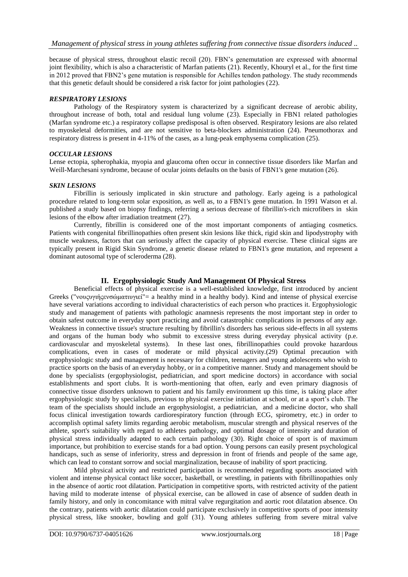because of physical stress, throughout elastic recoil (20). FBN's genemutation are expressed with abnormal joint flexibility, which is also a characteristic of Marfan patients (21). Recently, Khouryl et al., for the first time in 2012 proved that FBN2's gene mutation is responsible for Achilles tendon pathology. The study recommends that this genetic default should be considered a risk factor for joint pathologies (22).

## *RESPIRATORY LESIONS*

Pathology of the Respiratory system is characterized by a significant decrease of aerobic ability, throughout increase of both, total and residual lung volume (23). Especially in FBN1 related pathologies (Marfan syndrome etc.) a respiratory collapse predisposal is often observed. Respiratory lesions are also related to myoskeletal deformities, and are not sensitive to beta-blockers administration (24). Pneumothorax and respiratory distress is present in 4-11% of the cases, as a lung-peak emphysema complication (25).

# *OCCULAR LESIONS*

Lense ectopia, spherophakia, myopia and glaucoma often occur in connective tissue disorders like Marfan and Weill-Marchesani syndrome, because of ocular joints defaults on the basis of FBN1's gene mutation (26).

# *SKIN LESIONS*

Fibrillin is seriously implicated in skin structure and pathology. Early ageing is a pathological procedure related to long-term solar exposition, as well as, to a FBN1's gene mutation. In 1991 Watson et al. published a study based on biopsy findings, referring a serious decrease of fibrillin's-rich microfibers in skin lesions of the elbow after irradiation treatment (27).

Currently, fibrillin is considered one of the most important components of antiaging cosmetics. Patients with congenital fibrillinopathies often present skin lesions like thick, rigid skin and lipodystrophy with muscle weakness, factors that can seriously affect the capacity of physical exercise. These clinical signs are typically present in Rigid Skin Syndrome, a genetic disease related to FBN1's gene mutation, and represent a dominant autosomal type of scleroderma (28).

# **II. Ergophysiologic Study And Management Of Physical Stress**

Beneficial effects of physical exercise is a well-established knowledge, first introduced by ancient Greeks ("νουςυγιήςενσώματιυγιεί"= a healthy mind in a healthy body). Kind and intense of physical exercise have several variations according to individual characteristics of each person who practices it. Ergophysiologic study and management of patients with pathologic anamnesis represents the most important step in order to obtain safest outcome in everyday sport practicing and avoid catastrophic complications in persons of any age. Weakness in connective tissue's structure resulting by fibrillin's disorders has serious side-effects in all systems and organs of the human body who submit to excessive stress during everyday physical activity (p.e. cardiovascular and myoskeletal systems). In these last ones, fibrillinopathies could provoke hazardous complications, even in cases of moderate or mild physical activity.(29) Optimal precaution with ergophysiologic study and management is necessary for children, teenagers and young adolescents who wish to practice sports on the basis of an everyday hobby, or in a competitive manner. Study and management should be done by specialists (ergophysiologist, pediatrician, and sport medicine doctors) in accordance with social establishments and sport clubs. It is worth-mentioning that often, early and even primary diagnosis of connective tissue disorders unknown to patient and his family environment up this time, is taking place after ergophysiologic study by specialists, previous to physical exercise initiation at school, or at a sport's club. The team of the specialists should include an ergophysiologist, a pediatrician, and a medicine doctor, who shall focus clinical investigation towards cardiorespiratory function (through ECG, spirometry, etc.) in order to accomplish optimal safety limits regarding aerobic metabolism, muscular strength and physical reserves of the athlete, sport's suitability with regard to athletes pathology, and optimal dosage of intensity and duration of physical stress individually adapted to each certain pathology (30). Right choice of sport is of maximum importance, but prohibition to exercise stands for a bad option. Young persons can easily present psychological handicaps, such as sense of inferiority, stress and depression in front of friends and people of the same age, which can lead to constant sorrow and social marginalization, because of inability of sport practicing.

Mild physical activity and restricted participation is recommended regarding sports associated with violent and intense physical contact like soccer, basketball, or wrestling, in patients with fibrillinopathies only in the absence of aortic root dilatation. Participation in competitive sports, with restricted activity of the patient having mild to moderate intense of physical exercise, can be allowed in case of absence of sudden death in family history, and only in concomitance with mitral valve regurgitation and aortic root dilatation absence. On the contrary, patients with aortic dilatation could participate exclusively in competitive sports of poor intensity physical stress, like snooker, bowling and golf (31). Young athletes suffering from severe mitral valve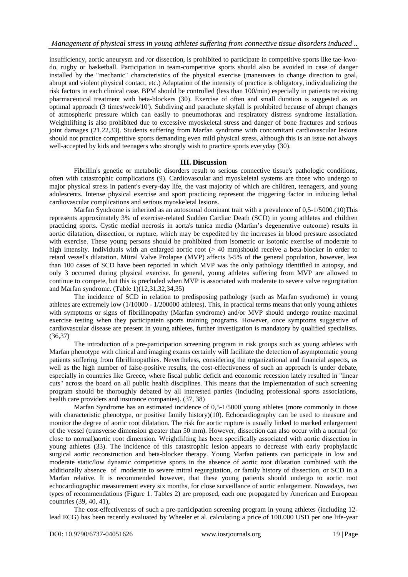insufficiency, aortic aneurysm and /or dissection, is prohibited to participate in competitive sports like tae-kwodo, rugby or basketball. Participation in team-competitive sports should also be avoided in case of danger installed by the "mechanic" characteristics of the physical exercise (maneuvers to change direction to goal, abrupt and violent physical contact, etc.) Adaptation of the intensity of practice is obligatory, individualizing the risk factors in each clinical case. BPM should be controlled (less than 100/min) especially in patients receiving pharmaceutical treatment with beta-blockers (30). Exercise of often and small duration is suggested as an optimal approach (3 times/week/10'). Subdiving and parachute skyfall is prohibited because of abrupt changes of atmospheric pressure which can easily to pneumothorax and respiratory distress syndrome installation. Weightlifting is also prohibited due to excessive myoskeletal stress and danger of bone fractures and serious joint damages (21,22,33). Students suffering from Marfan syndrome with concomitant cardiovascular lesions should not practice competitive sports demanding even mild physical stress, although this is an issue not always well-accepted by kids and teenagers who strongly wish to practice sports everyday (30).

## **III. Discussion**

Fibrillin's genetic or metabolic disorders result to serious connective tissue's pathologic conditions, often with catastrophic complications (9). Cardiovascular and myoskeletal systems are those who undergo to major physical stress in patient's every-day life, the vast majority of which are children, teenagers, and young adolescents. Intense physical exercise and sport practicing represent the triggering factor in inducing lethal cardiovascular complications and serious myoskeletal lesions.

Marfan Syndrome is inherited as an autosomal dominant trait with a prevalence of 0,5-1/5000.(10)This represents approximately 3% of exercise-related Sudden Cardiac Death (SCD) in young athletes and children practicing sports. Cystic medial necrosis in aorta's tunica media (Marfan's degenerative outcome) results in aortic dilatation, dissection, or rupture, which may be expedited by the increases in blood pressure associated with exercise. These young persons should be prohibited from isometric or isotonic exercise of moderate to high intensity. Individuals with an enlarged aortic root (> 40 mm)should receive a beta-blocker in order to retard vessel's dilatation. Mitral Valve Prolapse (MVP) affects 3-5% of the general population, however, less than 100 cases of SCD have been reported in which MVP was the only pathology identified in autopsy, and only 3 occurred during physical exercise. In general, young athletes suffering from MVP are allowed to continue to compete, but this is precluded when MVP is associated with moderate to severe valve regurgitation and Marfan syndrome. (Table 1)(12,31,32,34,35)

The incidence of SCD in relation to predisposing pathology (such as Marfan syndrome) in young athletes are extremely low (1/10000 - 1/200000 athletes). This, in practical terms means that only young athletes with symptoms or signs of fibrillinopathy (Marfan syndrome) and/or MVP should undergo routine maximal exercise testing when they participatein sports training programs. However, once symptoms suggestive of cardiovascular disease are present in young athletes, further investigation is mandatory by qualified specialists. (36,37)

The introduction of a pre-participation screening program in risk groups such as young athletes with Marfan phenotype with clinical and imaging exams certainly will facilitate the detection of asymptomatic young patients suffering from fibrillinopathies. Nevertheless, considering the organizational and financial aspects, as well as the high number of false-positive results, the cost-effectiveness of such an approach is under debate, especially in countries like Greece, where fiscal public deficit and economic recession lately resulted in "linear cuts" across the board on all public health disciplines. This means that the implementation of such screening program should be thoroughly debated by all interested parties (including professional sports associations, health care providers and insurance companies). (37, 38)

Marfan Syndrome has an estimated incidence of 0,5-1/5000 young athletes (more commonly in those with characteristic phenotype, or positive family history)(10). Echocardiography can be used to measure and monitor the degree of aortic root dilatation. The risk for aortic rupture is usually linked to marked enlargement of the vessel (transverse dimension greater than 50 mm). However, dissection can also occur with a normal (or close to normal)aortic root dimension. Weightlifting has been specifically associated with aortic dissection in young athletes (33). The incidence of this catastrophic lesion appears to decrease with early prophylactic surgical aortic reconstruction and beta-blocker therapy. Young Marfan patients can participate in low and moderate static/low dynamic competitive sports in the absence of aortic root dilatation combined with the additionally absence of moderate to severe mitral regurgitation, or family history of dissection, or SCD in a Marfan relative. It is recommended however, that these young patients should undergo to aortic root echocardiographic measurement every six months, for close surveillance of aortic enlargement. Nowadays, two types of recommendations (Figure 1. Tables 2) are proposed, each one propagated by American and European countries (39, 40, 41),

The cost-effectiveness of such a pre-participation screening program in young athletes (including 12 lead ECG) has been recently evaluated by Wheeler et al. calculating a price of 100.000 USD per one life-year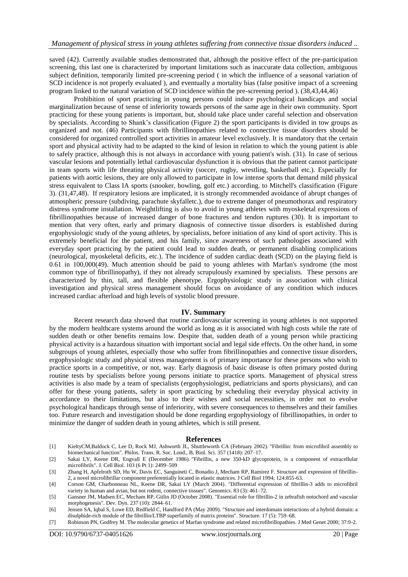saved (42). Currently available studies demonstrated that, although the positive effect of the pre-participation screening, this last one is characterized by important limitations such as inaccurate data collection, ambiguous subject definition, temporarily limited pre-screening period ( in which the influence of a seasonal variation of SCD incidence is not properly evaluated ), and eventually a mortality bias (false positive impact of a screening program linked to the natural variation of SCD incidence within the pre-screening period ). (38,43,44,46)

Prohibition of sport practicing in young persons could induce psychological handicaps and social marginalization because of sense of inferiority towards persons of the same age in their own community. Sport practicing for these young patients is important, but, should take place under careful selection and observation by specialists. According to Shank's classification (Figure 2) the sport participants is divided in tow groups as organized and not. (46) Participants with fibrillinopathies related to connective tissue disorders should be considered for organized controlled sport activities in amateur level exclusively. It is mandatory that the certain sport and physical activity had to be adapted to the kind of lesion in relation to which the young patient is able to safely practice, although this is not always in accordance with young patient's wish. (31). In case of serious vascular lesions and potentially lethal cardiovascular dysfunction it is obvious that the patient cannot participate in team sports with life threating physical activity (soccer, rugby, wrestling, basketball etc.). Especially for patients with aortic lesions, they are only allowed to participate in low intense sports that demand mild physical stress equivalent to Class IA sports (snooker, bowling, golf etc.) according. to Mitchell's classification (Figure 3). (31,47,48). If respiratory lesions are implicated, it is strongly recommended avoidance of abrupt changes of atmospheric pressure (subdiving, parachute skyfalletc.), due to extreme danger of pneumothorax and respiratory distress syndrome installation. Weightlifting is also to avoid in young athletes with myoskeletal expressions of fibrillinopathies because of increased danger of bone fractures and tendon ruptures (30). It is important to mention that very often, early and primary diagnosis of connective tissue disorders is established during ergophysiologic study of the young athletes, by specialists, before initiation of any kind of sport activity. This is extremely beneficial for the patient, and his family, since awareness of such pathologies associated with everyday sport practicing by the patient could lead to sudden death, or permanent disabling complications (neurological, myoskeletal deficits, etc.). The incidence of sudden cardiac death (SCD) on the playing field is 0.61 in 100,000(49). Much attention should be paid to young athletes with Marfan's syndrome (the most common type of fibrillinopathy), if they not already scrupulously examined by specialists. These persons are characterized by thin, tall, and flexible phenotype. Ergophysiologic study in association with clinical investigation and physical stress management should focus on avoidance of any condition which induces increased cardiac afterload and high levels of systolic blood pressure.

#### **IV. Summary**

Recent research data showed that routine cardiovascular screening in young athletes is not supported by the modern healthcare systems around the world as long as it is associated with high costs while the rate of sudden death or other benefits remains low. Despite that, sudden death of a young person while practicing physical activity is a hazardous situation with important social and legal side effects. On the other hand, in some subgroups of young athletes, especially those who suffer from fibrillinopathies and connective tissue disorders, ergophysiologic study and physical stress management is of primary importance for these persons who wish to practice sports in a competitive, or not, way. Early diagnosis of basic disease is often primary posted during routine tests by specialists before young persons initiate to practice sports. Management of physical stress activities is also made by a team of specialists (ergophysiologist, pediatricians and sports physicians), and can offer for these young patients, safety in sport practicing by scheduling their everyday physical activity in accordance to their limitations, but also to their wishes and social necessities, in order not to evolve psychological handicaps through sense of inferiority, with severe consequences to themselves and their families too. Future research and investigation should be done regarding ergophysiology of fibrillinopathies, in order to minimize the danger of sudden death in young athletes, which is still present.

#### **References**

- [1] KieltyCM,Baldock C, Lee D, Rock MJ, Ashworth JL, Shuttleworth CA (February 2002). ["Fibrillin: from microfibril](https://www.ncbi.nlm.nih.gov/pmc/articles/PMC1692929) assembly to [biomechanical function".](https://www.ncbi.nlm.nih.gov/pmc/articles/PMC1692929) Philos. Trans. R. Soc. Lond., B, Biol. Sci. 357 (1418): 207–17.
- [2] Sakai LY, Keene DR, Engvall E (December 1986). ["Fibrillin, a new 350-kD glycoprotein, is a component of extracellular](https://www.ncbi.nlm.nih.gov/pmc/articles/PMC2114568)  [microfibrils".](https://www.ncbi.nlm.nih.gov/pmc/articles/PMC2114568) J. Cell Biol. 103 (6 Pt 1): 2499–509
- [3] Zhang H, Apfelroth SD, Hu W, Davis EC, Sanguineti C, Bonadio J, Mecham RP, Ramirez F. Structure and expression of fibrillin-2, a novel microfibrillar component preferentially located in elastic matrices. J Cell Biol 1994; 124:855-63.
- [4] Corson GM, Charbonneau NL, Keene DR, Sakai LY (March 2004). "Differential expression of fibrillin-3 adds to microfibril variety in human and avian, but not rodent, connective tissues". Genomics. 83 (3): 461–72.
- [5] Gansner JM, Madsen EC, Mecham RP, Gitlin JD (October 2008). ["Essential role for fibrillin-2 in zebrafish notochord and vascular](https://www.ncbi.nlm.nih.gov/pmc/articles/PMC3081706)  [morphogenesis".](https://www.ncbi.nlm.nih.gov/pmc/articles/PMC3081706) Dev. Dyn. 237 (10): 2844–61.
- [6] Jensen SA, Iqbal S, Lowe ED, Redfield C, Handford PA (May 2009). "Structure and interdomain [interactions of a hybrid domain: a](https://www.ncbi.nlm.nih.gov/pmc/articles/PMC2724076)  [disulphide-rich module of the fibrillin/LTBP superfamily of matrix proteins".](https://www.ncbi.nlm.nih.gov/pmc/articles/PMC2724076) Structure. 17 (5): 759–68.
- [7] Robinson PN, Godfrey M. The molecular genetics of Marfan syndrome and related microfibrillopathies. J Med Genet 2000; 37:9-2.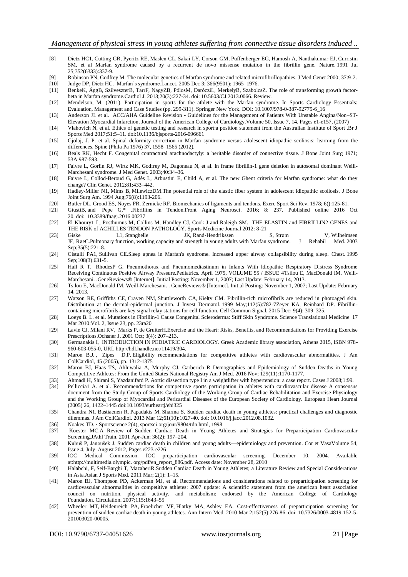- [8] [Dietz HC1](https://www.ncbi.nlm.nih.gov/pubmed/?term=Dietz%20HC%5BAuthor%5D&cauthor=true&cauthor_uid=1852208), [Cutting GR,](https://www.ncbi.nlm.nih.gov/pubmed/?term=Cutting%20GR%5BAuthor%5D&cauthor=true&cauthor_uid=1852208) [Pyeritz RE,](https://www.ncbi.nlm.nih.gov/pubmed/?term=Pyeritz%20RE%5BAuthor%5D&cauthor=true&cauthor_uid=1852208) [Maslen CL,](https://www.ncbi.nlm.nih.gov/pubmed/?term=Maslen%20CL%5BAuthor%5D&cauthor=true&cauthor_uid=1852208) [Sakai LY,](https://www.ncbi.nlm.nih.gov/pubmed/?term=Sakai%20LY%5BAuthor%5D&cauthor=true&cauthor_uid=1852208) [Corson GM,](https://www.ncbi.nlm.nih.gov/pubmed/?term=Corson%20GM%5BAuthor%5D&cauthor=true&cauthor_uid=1852208) [Puffenberger EG,](https://www.ncbi.nlm.nih.gov/pubmed/?term=Puffenberger%20EG%5BAuthor%5D&cauthor=true&cauthor_uid=1852208) [Hamosh A,](https://www.ncbi.nlm.nih.gov/pubmed/?term=Hamosh%20A%5BAuthor%5D&cauthor=true&cauthor_uid=1852208) [Nanthakumar EJ,](https://www.ncbi.nlm.nih.gov/pubmed/?term=Nanthakumar%20EJ%5BAuthor%5D&cauthor=true&cauthor_uid=1852208) [Curristin](https://www.ncbi.nlm.nih.gov/pubmed/?term=Curristin%20SM%5BAuthor%5D&cauthor=true&cauthor_uid=1852208)  [SM,](https://www.ncbi.nlm.nih.gov/pubmed/?term=Curristin%20SM%5BAuthor%5D&cauthor=true&cauthor_uid=1852208) et al Marfan syndrome caused by a recurrent de novo missense mutation in the fibrillin gene. [Nature.](https://www.ncbi.nlm.nih.gov/pubmed/1852208) 1991 Jul 25;352(6333):337-9.
- [9] Robinson PN, Godfrey M. The molecular genetics of Marfan syndrome and related microfibrillopathies. J Med Genet 2000; 37:9-2.

[10] Judge DP, Dietz HC. Marfan's syndrom[e.Lancet. 2005 Dec 3; 366\(9501\): 1965–1976.](https://www.ncbi.nlm.nih.gov/entrez/eutils/elink.fcgi?dbfrom=pubmed&retmode=ref&cmd=prlinks&id=16325700)

- [11] BenkeK, ÁggB, SzilveszterB, TarrF, NagyZB, PólosM, DarócziL, MerkelyB, SzabolcsZ. [The role of transforming growth factor](https://www.ncbi.nlm.nih.gov/pubmed/23788295)[beta in Marfan syndrome.C](https://www.ncbi.nlm.nih.gov/pubmed/23788295)ardiol J. 2013;20(3):227-34. doi: 10.5603/CJ.2013.0066. Review.
- [12] Mendelson, M. (2011). Participation in sports for the athlete with the Marfan syndrome. In Sports Cardiology Essentials: Evaluation, Management and Case Studies (pp. 299-311). Springer New York. DOI[: 10.1007/978-0-387-92775-6\\_16](http://dx.doi.org/10.1007/978-0-387-92775-6_16)
- [13] [Anderson](http://www.sciencedirect.com/science/article/pii/S0735109707005116#!) JL et al. ACC/AHA Guideline Revision Guidelines for the Management of Patients With Unstable Angina/Non–ST-Elevation Myocardial Infarction. Journal of [the American College of Cardiology](http://www.sciencedirect.com/science/journal/07351097)[.Volume 50, Issue 7,](http://www.sciencedirect.com/science/journal/07351097/50/7) 14, Pages e1-e157, (2007)
- [14] Vlahovich N, et al. Ethics of genetic testing and research in sport:a position statement from the Australian Institute of Sport .Br J Sports Med 2017;51:5–11. doi:10.1136/bjsports-2016-096661
- [15] Gjolaj, J. P. et al. Spinal deformity correction in Marfan syndrome versus adolescent idiopathic scoliosis: learning from the differences. Spine (Phila Pa 1976) 37, 1558–1565 (2012).
- [16] Beals RK, Hecht F. Congenital contractural arachnodactyly: a heritable disorder of connective tissue. J Bone Joint Surg 1971; 53A:987-593.
- [17] Faivre L, Gorlin RJ, Wirtz MK, Godfrey M, Dagoneau N, et al. In frame fibrillin-1 gene deletion in autosomal dominant Weill-Marchesani syndrome. J Med Genet. 2003;40:34–36.
- [18] Faivre L, Collod-Beroud G, Adès L, Arbustini E, Child A, et al. The new Ghent criteria for Marfan syndrome: what do they change? Clin Genet. 2012;81:433–442.
- [19] [Hadley-Miller N1](https://www.ncbi.nlm.nih.gov/pubmed/?term=Hadley-Miller%20N%5BAuthor%5D&cauthor=true&cauthor_uid=8056800), [Mims B,](https://www.ncbi.nlm.nih.gov/pubmed/?term=Mims%20B%5BAuthor%5D&cauthor=true&cauthor_uid=8056800) [MilewiczDM.T](https://www.ncbi.nlm.nih.gov/pubmed/?term=Milewicz%20DM%5BAuthor%5D&cauthor=true&cauthor_uid=8056800)he potential role of the elastic fiber system in adolescent idiopathic scoliosis. [J Bone](https://www.ncbi.nlm.nih.gov/pubmed/?term=Hadley-Miller+N%2C+.role+of+fibrillin)  [Joint Surg Am.](https://www.ncbi.nlm.nih.gov/pubmed/?term=Hadley-Miller+N%2C+.role+of+fibrillin) 1994 Aug;76(8):1193-206.
- [20] Butler DL, Grood ES, Noyes FR, Zernicke RF. Biomechanics of ligaments and tendons. Exerc Sport Sci Rev. 1978; 6():125-81.
- [21] [GiustiB](https://www.ncbi.nlm.nih.gov/pubmed/?term=Giusti%20B%5BAuthor%5D&cauthor=true&cauthor_uid=27812333), and [Pepe](https://www.ncbi.nlm.nih.gov/pubmed/?term=Pepe%20G%5BAuthor%5D&cauthor=true&cauthor_uid=27812333) G,\* .Fibrillins in Tendo[n.Front Aging Neurosci.](https://www.ncbi.nlm.nih.gov/pmc/articles/PMC5071311/) 2016; 8: 237. Published online 2016 Oct 20. doi: [10.3389/fnagi.2016.00237](https://dx.doi.org/10.3389%2Ffnagi.2016.00237)
- [22] El Khoury1 L, Posthumus M, Collins M, Handley CJ, Cook J and Raleigh SM. THE ELASTIN and FIBRILLIN2 GENES and THE RISK of ACHILLES TENDON PATHOLOGY. Sports Medicine Journal 2012: 8-21<br>Giske L1, Stanghelle JK, Rand-Hendrikssen
- [23] [Giske L1](https://www.ncbi.nlm.nih.gov/pubmed/?term=Giske%20L%5BAuthor%5D&cauthor=true&cauthor_uid=14582554), [Stanghelle JK,](https://www.ncbi.nlm.nih.gov/pubmed/?term=Stanghelle%20JK%5BAuthor%5D&cauthor=true&cauthor_uid=14582554) [Rand-Hendrikssen S,](https://www.ncbi.nlm.nih.gov/pubmed/?term=Rand-Hendrikssen%20S%5BAuthor%5D&cauthor=true&cauthor_uid=14582554) [Strøm V,](https://www.ncbi.nlm.nih.gov/pubmed/?term=Str%C3%B8m%20V%5BAuthor%5D&cauthor=true&cauthor_uid=14582554) [Wilhelmsen](https://www.ncbi.nlm.nih.gov/pubmed/?term=Wilhelmsen%20JE%5BAuthor%5D&cauthor=true&cauthor_uid=14582554)  [JE,](https://www.ncbi.nlm.nih.gov/pubmed/?term=Wilhelmsen%20JE%5BAuthor%5D&cauthor=true&cauthor_uid=14582554) [RøeC.](https://www.ncbi.nlm.nih.gov/pubmed/?term=R%C3%B8e%20C%5BAuthor%5D&cauthor=true&cauthor_uid=14582554)Pulmonary function, working capacity and strength in young adults with Marfan syndrome. [J Rehabil Med.](https://www.ncbi.nlm.nih.gov/pubmed/?term=PULMONARY+FUNCTION%2C+WORKING+CAPACITY+AND+STRENGTH+IN+YOUNG+ADULTS+WITH+MARFAN+SYNDROME) 2003 Sep;35(5):221-8.
- [24] [Cistulli PA1](https://www.ncbi.nlm.nih.gov/pubmed/?term=Cistulli%20PA%5BAuthor%5D&cauthor=true&cauthor_uid=7656608), [Sullivan CE.](https://www.ncbi.nlm.nih.gov/pubmed/?term=Sullivan%20CE%5BAuthor%5D&cauthor=true&cauthor_uid=7656608)Sleep apnea in Marfan's syndrome. Increased upper airway collapsibility during sleep. [Chest.](https://www.ncbi.nlm.nih.gov/pubmed/?term=cistulli+sullivan+respiratory+lesions+1995) 1995 Sep;108(3):631-5.
- [25] Hall R T, RhodesP G. Pneumothorax and Pneumomediastinum in Infants With ldiopathic Respiratory Distress Syndrome Receiving Continuous Positive Airway Pressur[e.Pediatrics.](http://pediatrics.aappublications.org/) [April 1975, VOLUME 55 / ISSUE 4T](http://pediatrics.aappublications.org/content/55/4)silou E, MacDonald IM. Weill-Marchesani. .GeneReviews® [Internet]. Initial Posting: November 1, 2007; Last Update: February 14, 2013.
- [26] Tsilou E, MacDonald IM. Weill-Marchesani. . GeneReviews® [Internet]. Initial Posting: November 1, 2007; Last Update: February 14, 2013.
- [27] [Watson](https://www.ncbi.nlm.nih.gov/pubmed/?term=Watson%20RE%5BAuthor%5D&cauthor=true&cauthor_uid=10233772) RE, [Griffiths CE,](https://www.ncbi.nlm.nih.gov/pubmed/?term=Griffiths%20CE%5BAuthor%5D&cauthor=true&cauthor_uid=10233772) [Craven NM,](https://www.ncbi.nlm.nih.gov/pubmed/?term=Craven%20NM%5BAuthor%5D&cauthor=true&cauthor_uid=10233772) Shuttleworth CA, Kielty CM. Fibrillin-rich microfibrils are reduced in photoaged skin. Distribution at the dermal-epidermal junction. [J Invest Dermatol.](https://www.ncbi.nlm.nih.gov/pubmed/10233772) 1999 May;112(5):782-7Zeyer KA, Reinhard DP. Fibrillincontaining microfibrils are key signal relay stations for cell function. Cell Commun Signal. 2015 Dec; 9(4): 309–325.
- [28] Loeys B. L. et al. Mutations in Fibrillin-1 Cause Congenital Scleroderma: Stiff Skin Syndrome. Science Translational Medicine 17 Mar 2010:Vol. 2, Issue 23, pp. 23ra20
- [29] [Lavie](https://www.ncbi.nlm.nih.gov/pubmed/?term=Lavie%20CJ%5BAuthor%5D&cauthor=true&cauthor_uid=21765739) CJ, [Milani](https://www.ncbi.nlm.nih.gov/pubmed/?term=Milani%20RV%5BAuthor%5D&cauthor=true&cauthor_uid=21765739) RV, [Marks](https://www.ncbi.nlm.nih.gov/pubmed/?term=Marks%20P%5BAuthor%5D&cauthor=true&cauthor_uid=21765739) P, [de GruiterH](https://www.ncbi.nlm.nih.gov/pubmed/?term=de%20Gruiter%20H%5BAuthor%5D&cauthor=true&cauthor_uid=21765739).Exercise and the Heart: Risks, Benefits, and Recommendations for Providing Exercise Prescriptions[.Ochsner J.](https://www.ncbi.nlm.nih.gov/pmc/articles/PMC3116747/) 2001 Oct; 3(4): 207–213.
- [30] Germanakis I, INTRODUCTION IN PEDIATRIC CARDIOLOGY. Greek Academic library association, Athens 2015, ISBN 978- 960-603-055-0, UR[L http://hdl.handle.net/11419/304,](http://hdl.handle.net/11419/304)
- [31] Maron B.J. , Zipes D.P. Eligibility recommendations for competitive athletes with cardiovascular abnormalities. J Am CollCardiol, 45 (2005), pp. 1312-1375
- [32] Maron BJ, Haas TS, Ahluwalia A, Murphy CJ, Garberich R Demographics and Epidemiology of Sudden Deaths in Young Competitive Athletes: From the United States National Registry Am J Med. 2016 Nov; 129(11):1170-1177.
- [33] Ahmadi H, Shirani S, Yazdanifard P. Aortic dissection type I in a weightlifter with hypertension: a case report. Cases J 2008;1:99.
- [34] Pelliccia1 A. et al. Recommendations for competitive sports participation in athletes with cardiovascular disease A consensus document from the Study Group of Sports Cardiology of the Working Group of Cardiac Rehabilitation and Exercise Physiology and the Working Group of Myocardial and Pericardial Diseases of the European Society of Cardiology. European Heart Journal (2005) 26, 1422–1445 doi:10.1093/eurheartj/ehi325
- [35] [Chandra N1](https://www.ncbi.nlm.nih.gov/pubmed/?term=Chandra%20N%5BAuthor%5D&cauthor=true&cauthor_uid=23473408), [Bastiaenen R,](https://www.ncbi.nlm.nih.gov/pubmed/?term=Bastiaenen%20R%5BAuthor%5D&cauthor=true&cauthor_uid=23473408) [Papadakis M,](https://www.ncbi.nlm.nih.gov/pubmed/?term=Papadakis%20M%5BAuthor%5D&cauthor=true&cauthor_uid=23473408) [Sharma S.](https://www.ncbi.nlm.nih.gov/pubmed/?term=Sharma%20S%5BAuthor%5D&cauthor=true&cauthor_uid=23473408) Sudden cardiac death in young athletes: practical challenges and diagnostic dilemmas[. J Am CollCardiol.](https://www.ncbi.nlm.nih.gov/pubmed/23473408) 2013 Mar 12;61(10):1027-40. doi: 10.1016/j.jacc.2012.08.1032.
- [36] Noakes TD. · Sportscience 2(4), sportsci.org/jour/9804/tdn.html, 1998
- [37] [Koester](https://www.ncbi.nlm.nih.gov/pubmed/?term=Koester%20MC%5BAuthor%5D&cauthor=true&cauthor_uid=12937463) MC.A Review of Sudden Cardiac Death in Young Athletes and Strategies for Preparticipation Cardiovascular Screenin[g.JAthl Train.](https://www.ncbi.nlm.nih.gov/pmc/articles/PMC155532/) 2001 Apr-Jun; 36(2): 197–204.
- [38] [Kubuš](http://www.sciencedirect.com/science/article/pii/S0010865012000677#!) P[, Janoušek](http://www.sciencedirect.com/science/article/pii/S0010865012000677#!) J. Sudden cardiac death in children and young adults—epidemiology and prevention[. Cor et VasaVolume 54,](http://www.sciencedirect.com/science/journal/00108650)  Issue 4, July–August 2012, Pages e223-e226
- [39] IOC Medical Commission. IOC preparticipation cardiovascular screening. December 10, 2004. Available at[:http://multimedia.olympic. org/pdf/en\\_report\\_886.pdf.](http://multimedia.olympic.org/pdf/en_report_886.pdf) Access date: November 28, 2010
- [40] [Halabchi,](https://www.ncbi.nlm.nih.gov/pubmed/?term=Halabchi%20F%5BAuthor%5D&cauthor=true&cauthor_uid=22375212) F, [Seif-Barghi](https://www.ncbi.nlm.nih.gov/pubmed/?term=Seif-Barghi%20T%5BAuthor%5D&cauthor=true&cauthor_uid=22375212) T, [MazaheriR](https://www.ncbi.nlm.nih.gov/pubmed/?term=Mazaheri%20R%5BAuthor%5D&cauthor=true&cauthor_uid=22375212).Sudden Cardiac Death in Young Athletes; a Literature Review and Special Considerations in Asi[a.Asian J Sports Med.](https://www.ncbi.nlm.nih.gov/pmc/articles/PMC3289188/) 2011 Mar; 2(1): 1–15.
- [41] Maron BJ, Thompson PD, Ackerman MJ, et al. Recommendations and considerations related to preparticipation screening for cardiovascular abnormalities in competitive athletes: 2007 update: A scientific statement from the american heart association council on nutrition, physical activity, and metabolism: endorsed by the American College of Cardiology Foundation. Circulation. 2007;115:1643–55
- [42] [Wheeler MT,](https://www.ncbi.nlm.nih.gov/pubmed/?term=Wheeler%20MT%5BAuthor%5D&cauthor=true&cauthor_uid=20194233) [Heidenreich PA,](https://www.ncbi.nlm.nih.gov/pubmed/?term=Heidenreich%20PA%5BAuthor%5D&cauthor=true&cauthor_uid=20194233) [Froelicher VF,](https://www.ncbi.nlm.nih.gov/pubmed/?term=Froelicher%20VF%5BAuthor%5D&cauthor=true&cauthor_uid=20194233) [Hlatky MA,](https://www.ncbi.nlm.nih.gov/pubmed/?term=Hlatky%20MA%5BAuthor%5D&cauthor=true&cauthor_uid=20194233) [Ashley EA.](https://www.ncbi.nlm.nih.gov/pubmed/?term=Ashley%20EA%5BAuthor%5D&cauthor=true&cauthor_uid=20194233) Cost-effectiveness of preparticipation screening for prevention of sudden cardiac death in young athletes. [Ann Intern Med.](https://www.ncbi.nlm.nih.gov/pubmed/20194233) 2010 Mar 2;152(5):276-86. doi: 10.7326/0003-4819-152-5- 201003020-00005.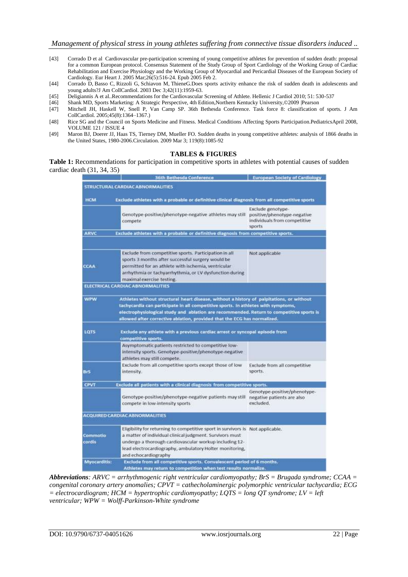- [43] [Corrado D](https://www.ncbi.nlm.nih.gov/pubmed/?term=Corrado%20D%5BAuthor%5D&cauthor=true&cauthor_uid=15689345) et al Cardiovascular pre-participation screening of young competitive athletes for prevention of sudden death: proposal for a common European protocol. Consensus Statement of the Study Group of Sport Cardiology of the Working Group of Cardiac Rehabilitation and Exercise Physiology and the Working Group of Myocardial and Pericardial Diseases of the European Society of Cardiology. [Eur Heart J.](https://www.ncbi.nlm.nih.gov/pubmed/15689345) 2005 Mar;26(5):516-24. Epub 2005 Feb 2.
- [44] [Corrado D,](https://www.ncbi.nlm.nih.gov/pubmed/?term=Corrado%20D%5BAuthor%5D&cauthor=true&cauthor_uid=14662259) [Basso C,](https://www.ncbi.nlm.nih.gov/pubmed/?term=Basso%20C%5BAuthor%5D&cauthor=true&cauthor_uid=14662259) [Rizzoli G,](https://www.ncbi.nlm.nih.gov/pubmed/?term=Rizzoli%20G%5BAuthor%5D&cauthor=true&cauthor_uid=14662259) [Schiavon M,](https://www.ncbi.nlm.nih.gov/pubmed/?term=Schiavon%20M%5BAuthor%5D&cauthor=true&cauthor_uid=14662259) [ThieneG.D](https://www.ncbi.nlm.nih.gov/pubmed/?term=Thiene%20G%5BAuthor%5D&cauthor=true&cauthor_uid=14662259)oes sports activity enhance the risk of sudden death in adolescents and young adults[?J Am CollCardiol.](https://www.ncbi.nlm.nih.gov/pubmed/14662259) 2003 Dec 3;42(11):1959-63.
- [45] Deligiannis A et al..Recommendations for the Cardiovascular Screening of Athlete. Hellenic J Cardiol 2010; 51: 530-537
- [46] Shank MD, Sports Marketing: A Strategic Perspective, 4th Edition,Northern Kentucky University,©2009 |Pearson
- [47] Mitchell JH, Haskell W, Snell P, Van Camp SP. 36th Bethesda Conference. Task force 8: classification of sports. J Am CollCardiol. 2005;45(8):1364–1367.)
- [48] Rice SG and the Council on Sports Medicine and Fitness. Medical Conditions Affecting Sports Participatio[n.PediatricsApril 2008,](http://pediatrics.aappublications.org/)  VOLUME 121 / ISSUE 4
- [49] Maron BJ, Doerer JJ, Haas TS, Tierney DM, Mueller FO. Sudden deaths in young competitive athletes: analysis of 1866 deaths in the United States, 1980-2006.Circulation. 2009 Mar 3; 119(8):1085-92

#### **TABLES & FIGURES**

**Table 1:** Recommendations for participation in competitive sports in athletes with potential causes of sudden cardiac death (31, 34, 35)

|                     | <b>36th Bethesda Conference</b>                                                                                                                                                                                                                                                                                                          | <b>European Society of Cardiology</b>                                                      |  |  |  |
|---------------------|------------------------------------------------------------------------------------------------------------------------------------------------------------------------------------------------------------------------------------------------------------------------------------------------------------------------------------------|--------------------------------------------------------------------------------------------|--|--|--|
|                     | STRUCTURAL CARDIAC ABNORMALITIES                                                                                                                                                                                                                                                                                                         |                                                                                            |  |  |  |
| <b>HCM</b>          | Exclude athletes with a probable or definitive clinical diagnosis from all competitive sports                                                                                                                                                                                                                                            |                                                                                            |  |  |  |
|                     | Genotype-positive/phenotype-negative athletes may still<br>compete                                                                                                                                                                                                                                                                       | Exclude genotype-<br>positive/phenotype-negative<br>individuals from competitive<br>sports |  |  |  |
| <b>ARVC</b>         | Exclude athletes with a probable or definitive diagnosis from competitive sports.                                                                                                                                                                                                                                                        |                                                                                            |  |  |  |
|                     |                                                                                                                                                                                                                                                                                                                                          |                                                                                            |  |  |  |
| <b>CCAA</b>         | Exclude from competitive sports. Participation in all<br>sports 3 months after successful surgery would be<br>permitted for an athlete with ischemia, ventricular<br>arrhythmia or tachyarrhythmia, or LV dysfunction during<br>maximal exercise testing.                                                                                | Not applicable                                                                             |  |  |  |
|                     | <b>ELECTRICAL CARDIAC ABNORMALITIES</b>                                                                                                                                                                                                                                                                                                  |                                                                                            |  |  |  |
| LQTS                | tachycardia can participate in all competitive sports. In athletes with symptoms,<br>electrophysiological study and ablation are recommended. Return to competitive sports is<br>allowed after corrective ablation, provided that the ECG has normalized.<br>Exclude any athlete with a previous cardiac arrest or syncopal episode from |                                                                                            |  |  |  |
|                     | competitive sports.<br>Asymptomatic patients restricted to competitive low-<br>intensity sports. Genotype-positive/phenotype-negative<br>athletes may still compete.                                                                                                                                                                     |                                                                                            |  |  |  |
| <b>Br5</b>          | Exclude from all competitive sports except those of low<br>intensity.                                                                                                                                                                                                                                                                    | Exclude from all competitive<br>sports.                                                    |  |  |  |
| <b>CPVT</b>         | Exclude all patients with a clinical diagnosis from competitive sports.                                                                                                                                                                                                                                                                  |                                                                                            |  |  |  |
|                     | Genotype-positive/phenotype-negative-patients may still<br>compete in low-intensity sports                                                                                                                                                                                                                                               | Genotype-positive/phenotype-<br>negative patients are also<br>excluded.                    |  |  |  |
|                     | <b>ACQUIRED CARDIAC ABNORMALITIES</b>                                                                                                                                                                                                                                                                                                    |                                                                                            |  |  |  |
| Commotio<br>cordis  | Eligibility for returning to competitive sport in survivors is Not applicable.<br>a matter of individual clinical judgment. Survivors must<br>undergo a thorough cardiovascular workup including 12-<br>lead electrocardiography, ambulatory Holter monitoring,<br>and echocardiography                                                  |                                                                                            |  |  |  |
| <b>Myocarditis:</b> | Exclude from all competitive sports. Convalescent period of 6 months.<br>Athletes may return to competition when test results normalize.                                                                                                                                                                                                 |                                                                                            |  |  |  |

*Abbreviations: ARVC = arrhythmogenic right ventricular cardiomyopathy; BrS = Brugada syndrome; CCAA = congenital coronary artery anomalies; CPVT = cathecholaminergic polymorphic ventricular tachycardia; ECG*   $=$  *electrocardiogram;*  $HCM =$  *hypertrophic cardiomyopathy;*  $LQTS =$  *long*  $QT$  *syndrome;*  $LV =$  *left ventricular; WPW = Wolff-Parkinson-White syndrome*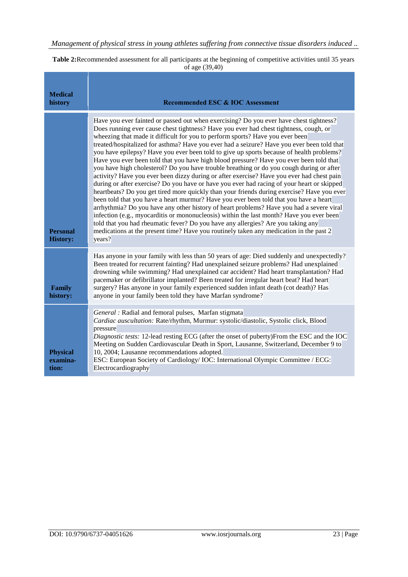*Management of physical stress in young athletes suffering from connective tissue disorders induced ..*

| Table 2:Recommended assessment for all participants at the beginning of competitive activities until 35 years |  |
|---------------------------------------------------------------------------------------------------------------|--|
| of age $(39,40)$                                                                                              |  |

| <b>Medical</b><br>history            | <b>Recommended ESC &amp; IOC Assessment</b>                                                                                                                                                                                                                                                                                                                                                                                                                                                                                                                                                                                                                                                                                                                                                                                                                                                                                                                                                                                                                                                                                                                                                                                                                                                                                                                                                                         |
|--------------------------------------|---------------------------------------------------------------------------------------------------------------------------------------------------------------------------------------------------------------------------------------------------------------------------------------------------------------------------------------------------------------------------------------------------------------------------------------------------------------------------------------------------------------------------------------------------------------------------------------------------------------------------------------------------------------------------------------------------------------------------------------------------------------------------------------------------------------------------------------------------------------------------------------------------------------------------------------------------------------------------------------------------------------------------------------------------------------------------------------------------------------------------------------------------------------------------------------------------------------------------------------------------------------------------------------------------------------------------------------------------------------------------------------------------------------------|
| <b>Personal</b><br><b>History:</b>   | Have you ever fainted or passed out when exercising? Do you ever have chest tightness?<br>Does running ever cause chest tightness? Have you ever had chest tightness, cough, or<br>wheezing that made it difficult for you to perform sports? Have you ever been<br>treated/hospitalized for asthma? Have you ever had a seizure? Have you ever been told that<br>you have epilepsy? Have you ever been told to give up sports because of health problems?<br>Have you ever been told that you have high blood pressure? Have you ever been told that<br>you have high cholesterol? Do you have trouble breathing or do you cough during or after<br>activity? Have you ever been dizzy during or after exercise? Have you ever had chest pain<br>during or after exercise? Do you have or have you ever had racing of your heart or skipped<br>heartbeats? Do you get tired more quickly than your friends during exercise? Have you ever<br>been told that you have a heart murmur? Have you ever been told that you have a heart<br>arrhythmia? Do you have any other history of heart problems? Have you had a severe viral<br>infection (e.g., myocarditis or mononucleosis) within the last month? Have you ever been<br>told that you had rheumatic fever? Do you have any allergies? Are you taking any<br>medications at the present time? Have you routinely taken any medication in the past 2<br>years? |
| Family<br>history:                   | Has anyone in your family with less than 50 years of age: Died suddenly and unexpectedly?<br>Been treated for recurrent fainting? Had unexplained seizure problems? Had unexplained<br>drowning while swimming? Had unexplained car accident? Had heart transplantation? Had<br>pacemaker or defibrillator implanted? Been treated for irregular heart beat? Had heart<br>surgery? Has anyone in your family experienced sudden infant death (cot death)? Has<br>anyone in your family been told they have Marfan syndrome?                                                                                                                                                                                                                                                                                                                                                                                                                                                                                                                                                                                                                                                                                                                                                                                                                                                                                         |
| <b>Physical</b><br>examina-<br>tion: | General: Radial and femoral pulses, Marfan stigmata<br>Cardiac auscultation: Rate/rhythm, Murmur: systolic/diastolic, Systolic click, Blood<br>pressure<br>Diagnostic tests: 12-lead resting ECG (after the onset of puberty)From the ESC and the IOC<br>Meeting on Sudden Cardiovascular Death in Sport, Lausanne, Switzerland, December 9 to<br>10, 2004; Lausanne recommendations adopted.<br>ESC: European Society of Cardiology/ IOC: International Olympic Committee / ECG:<br>Electrocardiography                                                                                                                                                                                                                                                                                                                                                                                                                                                                                                                                                                                                                                                                                                                                                                                                                                                                                                            |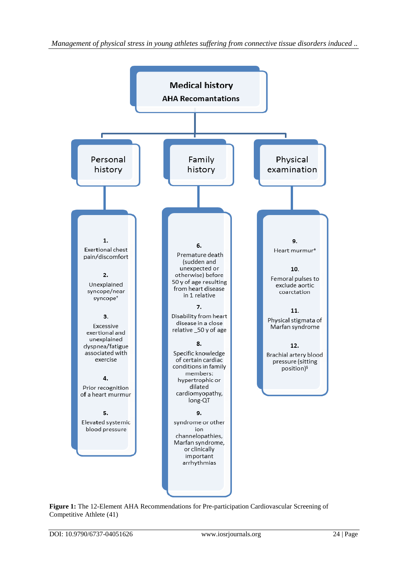

**Figure 1:** The 12-Element AHA Recommendations for Pre-participation Cardiovascular Screening of Competitive Athlete (41)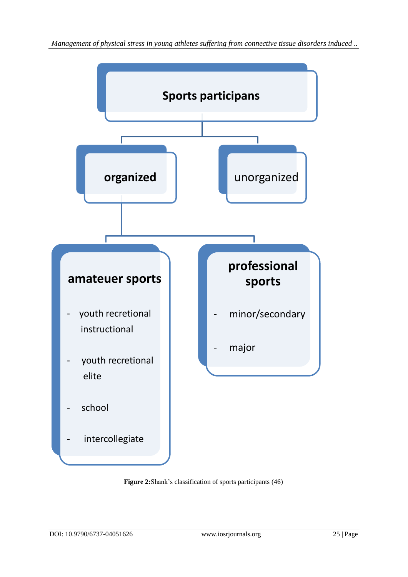

**Figure 2:**Shank's classification of sports participants (46)